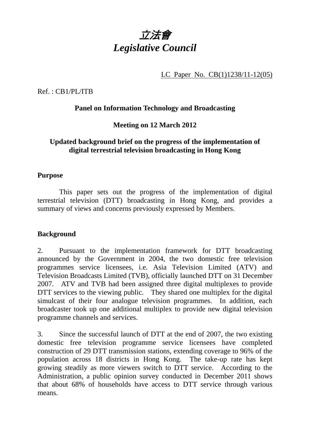

LC Paper No. CB(1)1238/11-12(05)

Ref. : CB1/PL/ITB

## **Panel on Information Technology and Broadcasting**

# **Meeting on 12 March 2012**

### **Updated background brief on the progress of the implementation of digital terrestrial television broadcasting in Hong Kong**

### **Purpose**

 This paper sets out the progress of the implementation of digital terrestrial television (DTT) broadcasting in Hong Kong, and provides a summary of views and concerns previously expressed by Members.

### **Background**

2. Pursuant to the implementation framework for DTT broadcasting announced by the Government in 2004, the two domestic free television programmes service licensees, i.e. Asia Television Limited (ATV) and Television Broadcasts Limited (TVB), officially launched DTT on 31 December 2007. ATV and TVB had been assigned three digital multiplexes to provide DTT services to the viewing public. They shared one multiplex for the digital simulcast of their four analogue television programmes. In addition, each broadcaster took up one additional multiplex to provide new digital television programme channels and services.

3. Since the successful launch of DTT at the end of 2007, the two existing domestic free television programme service licensees have completed construction of 29 DTT transmission stations, extending coverage to 96% of the population across 18 districts in Hong Kong. The take-up rate has kept growing steadily as more viewers switch to DTT service. According to the Administration, a public opinion survey conducted in December 2011 shows that about 68% of households have access to DTT service through various means.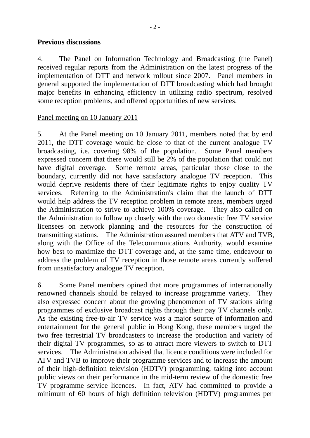#### **Previous discussions**

4. The Panel on Information Technology and Broadcasting (the Panel) received regular reports from the Administration on the latest progress of the implementation of DTT and network rollout since 2007. Panel members in general supported the implementation of DTT broadcasting which had brought major benefits in enhancing efficiency in utilizing radio spectrum, resolved some reception problems, and offered opportunities of new services.

#### Panel meeting on 10 January 2011

5. At the Panel meeting on 10 January 2011, members noted that by end 2011, the DTT coverage would be close to that of the current analogue TV broadcasting, i.e. covering 98% of the population. Some Panel members expressed concern that there would still be 2% of the population that could not have digital coverage. Some remote areas, particular those close to the boundary, currently did not have satisfactory analogue TV reception. This would deprive residents there of their legitimate rights to enjoy quality TV services. Referring to the Administration's claim that the launch of DTT would help address the TV reception problem in remote areas, members urged the Administration to strive to achieve 100% coverage. They also called on the Administration to follow up closely with the two domestic free TV service licensees on network planning and the resources for the construction of transmitting stations. The Administration assured members that ATV and TVB, along with the Office of the Telecommunications Authority, would examine how best to maximize the DTT coverage and, at the same time, endeavour to address the problem of TV reception in those remote areas currently suffered from unsatisfactory analogue TV reception.

6. Some Panel members opined that more programmes of internationally renowned channels should be relayed to increase programme variety. They also expressed concern about the growing phenomenon of TV stations airing programmes of exclusive broadcast rights through their pay TV channels only. As the existing free-to-air TV service was a major source of information and entertainment for the general public in Hong Kong, these members urged the two free terrestrial TV broadcasters to increase the production and variety of their digital TV programmes, so as to attract more viewers to switch to DTT services. The Administration advised that licence conditions were included for ATV and TVB to improve their programme services and to increase the amount of their high-definition television (HDTV) programming, taking into account public views on their performance in the mid-term review of the domestic free TV programme service licences. In fact, ATV had committed to provide a minimum of 60 hours of high definition television (HDTV) programmes per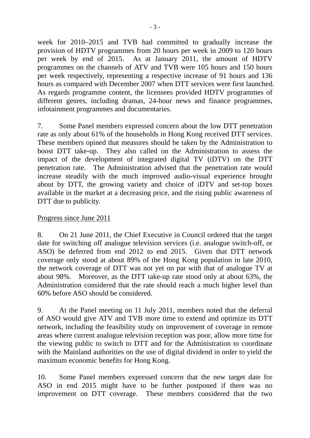week for 2010–2015 and TVB had committed to gradually increase the provision of HDTV programmes from 20 hours per week in 2009 to 120 hours per week by end of 2015. As at January 2011, the amount of HDTV programmes on the channels of ATV and TVB were 105 hours and 150 hours per week respectively, representing a respective increase of 91 hours and 136 hours as compared with December 2007 when DTT services were first launched. As regards programme content, the licensees provided HDTV programmes of different genres, including dramas, 24-hour news and finance programmes, infotainment programmes and documentaries.

7. Some Panel members expressed concern about the low DTT penetration rate as only about 61% of the households in Hong Kong received DTT services. These members opined that measures should be taken by the Administration to boost DTT take-up. They also called on the Administration to assess the impact of the development of integrated digital TV (iDTV) on the DTT penetration rate. The Administration advised that the penetration rate would increase steadily with the much improved audio-visual experience brought about by DTT, the growing variety and choice of iDTV and set-top boxes available in the market at a decreasing price, and the rising public awareness of DTT due to publicity.

#### Progress since June 2011

8. On 21 June 2011, the Chief Executive in Council ordered that the target date for switching off analogue television services (i.e. analogue switch-off, or ASO) be deferred from end 2012 to end 2015. Given that DTT network coverage only stood at about 89% of the Hong Kong population in late 2010, the network coverage of DTT was not yet on par with that of analogue TV at about 98%. Moreover, as the DTT take-up rate stood only at about 63%, the Administration considered that the rate should reach a much higher level than 60% before ASO should be considered.

9. At the Panel meeting on 11 July 2011, members noted that the deferral of ASO would give ATV and TVB more time to extend and optimize its DTT network, including the feasibility study on improvement of coverage in remote areas where current analogue television reception was poor, allow more time for the viewing public to switch to DTT and for the Administration to coordinate with the Mainland authorities on the use of digital dividend in order to yield the maximum economic benefits for Hong Kong.

10. Some Panel members expressed concern that the new target date for ASO in end 2015 might have to be further postponed if there was no improvement on DTT coverage. These members considered that the two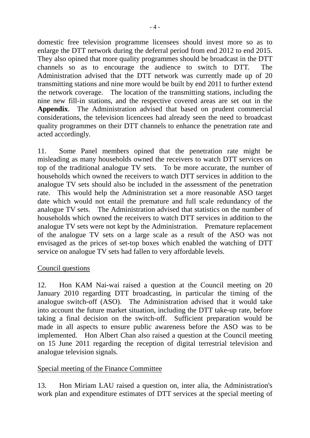domestic free television programme licensees should invest more so as to enlarge the DTT network during the deferral period from end 2012 to end 2015. They also opined that more quality programmes should be broadcast in the DTT channels so as to encourage the audience to switch to DTT. The Administration advised that the DTT network was currently made up of 20 transmitting stations and nine more would be built by end 2011 to further extend the network coverage. The location of the transmitting stations, including the nine new fill-in stations, and the respective covered areas are set out in the **Appendix**. The Administration advised that based on prudent commercial considerations, the television licencees had already seen the need to broadcast quality programmes on their DTT channels to enhance the penetration rate and acted accordingly.

11. Some Panel members opined that the penetration rate might be misleading as many households owned the receivers to watch DTT services on top of the traditional analogue TV sets. To be more accurate, the number of households which owned the receivers to watch DTT services in addition to the analogue TV sets should also be included in the assessment of the penetration rate. This would help the Administration set a more reasonable ASO target date which would not entail the premature and full scale redundancy of the analogue TV sets. The Administration advised that statistics on the number of households which owned the receivers to watch DTT services in addition to the analogue TV sets were not kept by the Administration. Premature replacement of the analogue TV sets on a large scale as a result of the ASO was not envisaged as the prices of set-top boxes which enabled the watching of DTT service on analogue TV sets had fallen to very affordable levels.

### Council questions

12. Hon KAM Nai-wai raised a question at the Council meeting on 20 January 2010 regarding DTT broadcasting, in particular the timing of the analogue switch-off (ASO). The Administration advised that it would take into account the future market situation, including the DTT take-up rate, before taking a final decision on the switch-off. Sufficient preparation would be made in all aspects to ensure public awareness before the ASO was to be implemented. Hon Albert Chan also raised a question at the Council meeting on 15 June 2011 regarding the reception of digital terrestrial television and analogue television signals.

# Special meeting of the Finance Committee

13. Hon Miriam LAU raised a question on, inter alia, the Administration's work plan and expenditure estimates of DTT services at the special meeting of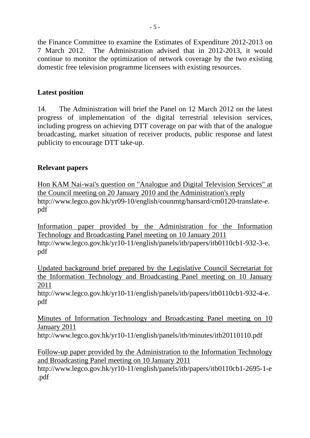the Finance Committee to examine the Estimates of Expenditure 2012-2013 on 7 March 2012. The Administration advised that in 2012-2013, it would continue to monitor the optimization of network coverage by the two existing domestic free television programme licensees with existing resources.

# **Latest position**

14. The Administration will brief the Panel on 12 March 2012 on the latest progress of implementation of the digital terrestrial television services, including progress on achieving DTT coverage on par with that of the analogue broadcasting, market situation of receiver products, public response and latest publicity to encourage DTT take-up.

## **Relevant papers**

Hon KAM Nai-wai's question on "Analogue and Digital Television Services" at the Council meeting on 20 January 2010 and the Administration's reply http://www.legco.gov.hk/yr09-10/english/counmtg/hansard/cm0120-translate-e. pdf

Information paper provided by the Administration for the Information Technology and Broadcasting Panel meeting on 10 January 2011 http://www.legco.gov.hk/yr10-11/english/panels/itb/papers/itb0110cb1-932-3-e. pdf

Updated background brief prepared by the Legislative Council Secretariat for the Information Technology and Broadcasting Panel meeting on 10 January 2011

http://www.legco.gov.hk/yr10-11/english/panels/itb/papers/itb0110cb1-932-4-e. pdf

Minutes of Information Technology and Broadcasting Panel meeting on 10 January 2011

http://www.legco.gov.hk/yr10-11/english/panels/itb/minutes/itb20110110.pdf

Follow-up paper provided by the Administration to the Information Technology and Broadcasting Panel meeting on 10 January 2011

http://www.legco.gov.hk/yr10-11/english/panels/itb/papers/itb0110cb1-2695-1-e .pdf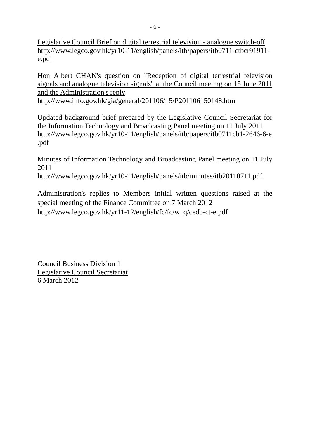Legislative Council Brief on digital terrestrial television - analogue switch-off http://www.legco.gov.hk/yr10-11/english/panels/itb/papers/itb0711-ctbcr91911 e.pdf

Hon Albert CHAN's question on "Reception of digital terrestrial television signals and analogue television signals" at the Council meeting on 15 June 2011 and the Administration's reply http://www.info.gov.hk/gia/general/201106/15/P201106150148.htm

Updated background brief prepared by the Legislative Council Secretariat for the Information Technology and Broadcasting Panel meeting on 11 July 2011 http://www.legco.gov.hk/yr10-11/english/panels/itb/papers/itb0711cb1-2646-6-e .pdf

Minutes of Information Technology and Broadcasting Panel meeting on 11 July 2011

http://www.legco.gov.hk/yr10-11/english/panels/itb/minutes/itb20110711.pdf

Administration's replies to Members initial written questions raised at the special meeting of the Finance Committee on 7 March 2012 http://www.legco.gov.hk/yr11-12/english/fc/fc/w\_q/cedb-ct-e.pdf

Council Business Division 1 Legislative Council Secretariat 6 March 2012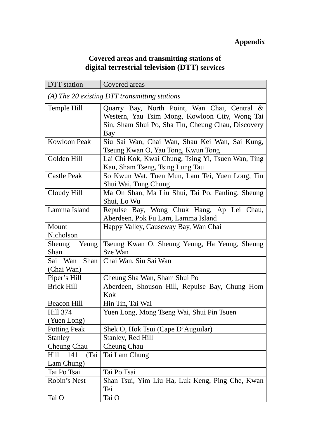## **Covered areas and transmitting stations of digital terrestrial television (DTT) services**

| DTT station                                     | Covered areas                                      |  |
|-------------------------------------------------|----------------------------------------------------|--|
| $(A)$ The 20 existing DTT transmitting stations |                                                    |  |
| Temple Hill                                     | Quarry Bay, North Point, Wan Chai, Central &       |  |
|                                                 | Western, Yau Tsim Mong, Kowloon City, Wong Tai     |  |
|                                                 | Sin, Sham Shui Po, Sha Tin, Cheung Chau, Discovery |  |
|                                                 | Bay                                                |  |
| <b>Kowloon Peak</b>                             | Siu Sai Wan, Chai Wan, Shau Kei Wan, Sai Kung,     |  |
|                                                 | Tseung Kwan O, Yau Tong, Kwun Tong                 |  |
| Golden Hill                                     | Lai Chi Kok, Kwai Chung, Tsing Yi, Tsuen Wan, Ting |  |
|                                                 | Kau, Sham Tseng, Tsing Lung Tau                    |  |
| <b>Castle Peak</b>                              | So Kwun Wat, Tuen Mun, Lam Tei, Yuen Long, Tin     |  |
|                                                 | Shui Wai, Tung Chung                               |  |
| Cloudy Hill                                     | Ma On Shan, Ma Liu Shui, Tai Po, Fanling, Sheung   |  |
|                                                 | Shui, Lo Wu                                        |  |
| Lamma Island                                    | Repulse Bay, Wong Chuk Hang, Ap Lei Chau,          |  |
|                                                 | Aberdeen, Pok Fu Lam, Lamma Island                 |  |
| Mount                                           | Happy Valley, Causeway Bay, Wan Chai               |  |
| Nicholson                                       |                                                    |  |
| Sheung<br>Yeung                                 | Tseung Kwan O, Sheung Yeung, Ha Yeung, Sheung      |  |
| Shan                                            | Sze Wan                                            |  |
| Sai Wan<br>Shan                                 | Chai Wan, Siu Sai Wan                              |  |
| (Chai Wan)                                      |                                                    |  |
| Piper's Hill                                    | Cheung Sha Wan, Sham Shui Po                       |  |
| <b>Brick Hill</b>                               | Aberdeen, Shouson Hill, Repulse Bay, Chung Hom     |  |
|                                                 | Kok                                                |  |
| <b>Beacon Hill</b>                              | Hin Tin, Tai Wai                                   |  |
| Hill 374                                        | Yuen Long, Mong Tseng Wai, Shui Pin Tsuen          |  |
| (Yuen Long)                                     |                                                    |  |
| <b>Potting Peak</b>                             | Shek O, Hok Tsui (Cape D'Auguilar)                 |  |
| Stanley                                         | Stanley, Red Hill                                  |  |
| Cheung Chau                                     | <b>Cheung Chau</b>                                 |  |
| 141<br>(Tai<br>Hill                             | Tai Lam Chung                                      |  |
| Lam Chung)                                      |                                                    |  |
| Tai Po Tsai                                     | Tai Po Tsai                                        |  |
| Robin's Nest                                    | Shan Tsui, Yim Liu Ha, Luk Keng, Ping Che, Kwan    |  |
|                                                 | Tei                                                |  |
| Tai O                                           | Tai O                                              |  |